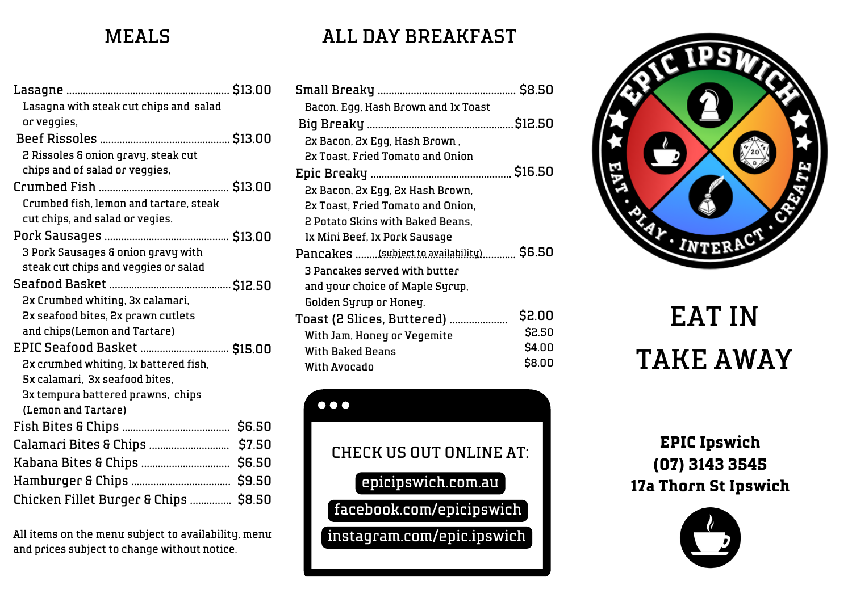### MEALS

| Lasagna with steak cut chips and salad |  |
|----------------------------------------|--|
| or veggies,                            |  |
|                                        |  |
| 2 Rissoles & onion gravy, steak cut    |  |
| chips and of salad or veggies,         |  |
|                                        |  |
| Crumbed fish, lemon and tartare, steak |  |
| cut chips, and salad or vegies.        |  |
|                                        |  |
| 3 Pork Sausages & onion gravy with     |  |
| steak cut chips and veggies or salad   |  |
|                                        |  |
| 2x Crumbed whiting, 3x calamari,       |  |
| 2x seafood bites, 2x prawn cutlets     |  |
| and chips(Lemon and Tartare)           |  |
| EPIC Seafood Basket  \$15.00           |  |
| 2x crumbed whiting, 1x battered fish,  |  |
| 5x calamari, 3x seafood bites,         |  |
| 3x tempura battered prawns, chips      |  |
| (Lemon and Tartare)                    |  |
|                                        |  |
|                                        |  |
|                                        |  |
|                                        |  |
| Chicken Fillet Burger & Chips  \$8.50  |  |
|                                        |  |

All items on the menu subject to availability, menu and prices subject to change without notice.

# ALL DAY BREAKFAST

| \$16.50                                   |
|-------------------------------------------|
|                                           |
|                                           |
|                                           |
|                                           |
| Pancakes (subject to availability) \$6.50 |
|                                           |
|                                           |
|                                           |
| \$2.00                                    |
| \$2.50                                    |
| \$4.00                                    |
| \$8.00                                    |
|                                           |

 $\bullet\bullet\bullet$ CHECK US OUT ONLINE AT: epicipswich.com.au facebook.com/epicipswich  $\left[\text{instagram.com/epic.jpg}$ 



# EAT IN TAKE AWAY

**EPIC Ipswich (07) 3143 3545 17a Thorn St Ipswich**